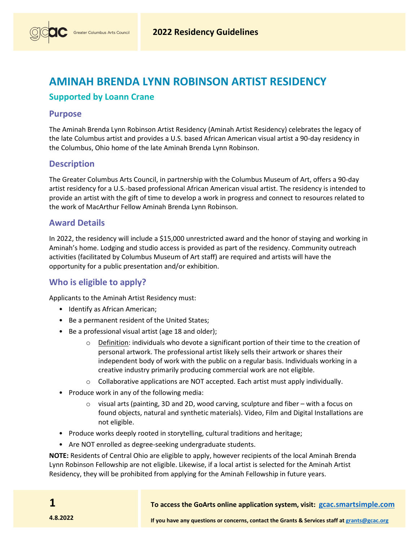# **AMINAH BRENDA LYNN ROBINSON ARTIST RESIDENCY**

## **Supported by Loann Crane**

### **Purpose**

The Aminah Brenda Lynn Robinson Artist Residency (Aminah Artist Residency) celebrates the legacy of the late Columbus artist and provides a U.S. based African American visual artist a 90-day residency in the Columbus, Ohio home of the late Aminah Brenda Lynn Robinson.

### **Description**

The Greater Columbus Arts Council, in partnership with the Columbus Museum of Art, offers a 90-day artist residency for a U.S.-based professional African American visual artist. The residency is intended to provide an artist with the gift of time to develop a work in progress and connect to resources related to the work of MacArthur Fellow Aminah Brenda Lynn Robinson.

### **Award Details**

In 2022, the residency will include a \$15,000 unrestricted award and the honor of staying and working in Aminah's home. Lodging and studio access is provided as part of the residency. Community outreach activities (facilitated by Columbus Museum of Art staff) are required and artists will have the opportunity for a public presentation and/or exhibition.

## **Who is eligible to apply?**

Applicants to the Aminah Artist Residency must:

- Identify as African American;
- Be a permanent resident of the United States;
- Be a professional visual artist (age 18 and older);
	- $\circ$  Definition: individuals who devote a significant portion of their time to the creation of personal artwork. The professional artist likely sells their artwork or shares their independent body of work with the public on a regular basis. Individuals working in a creative industry primarily producing commercial work are not eligible.
	- $\circ$  Collaborative applications are NOT accepted. Each artist must apply individually.
- Produce work in any of the following media:
	- $\circ$  visual arts (painting, 3D and 2D, wood carving, sculpture and fiber with a focus on found objects, natural and synthetic materials). Video, Film and Digital Installations are not eligible.
- Produce works deeply rooted in storytelling, cultural traditions and heritage;
- Are NOT enrolled as degree-seeking undergraduate students.

**NOTE:** Residents of Central Ohio are eligible to apply, however recipients of the local Aminah Brenda Lynn Robinson Fellowship are not eligible. Likewise, if a local artist is selected for the Aminah Artist Residency, they will be prohibited from applying for the Aminah Fellowship in future years.

**1**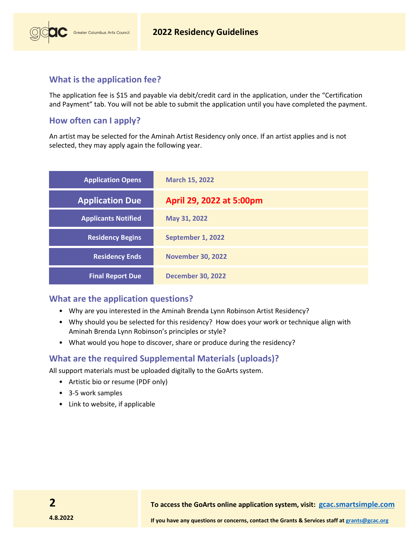

### **What is the application fee?**

The application fee is \$15 and payable via debit/credit card in the app[lication, under the "Certification](https://www.gcac.org/aminah-residency-fee/)  [and Payment" t](https://www.gcac.org/aminah-residency-fee/)ab. You will not be able to submit the application until you have completed the payment.

### **How often can I apply?**

An artist may be selected for the Aminah Artist Residency only once. If an artist applies and is not selected, they may apply again the following year.

| <b>Application Opens</b>   | <b>March 15, 2022</b>    |
|----------------------------|--------------------------|
| <b>Application Due</b>     | April 29, 2022 at 5:00pm |
| <b>Applicants Notified</b> | May 31, 2022             |
| <b>Residency Begins</b>    | September 1, 2022        |
| <b>Residency Ends</b>      | <b>November 30, 2022</b> |
| <b>Final Report Due</b>    | <b>December 30, 2022</b> |

### **What are the application questions?**

- Why are you interested in the Aminah Brenda Lynn Robinson Artist Residency?
- Why should you be selected for this residency? How does your work or technique align with Aminah Brenda Lynn Robinson's principles or style?
- What would you hope to discover, share or produce during the residency?

### **What are the required Supplemental Materials (uploads)?**

All support materials must be uploaded digitally to the GoArts system.

- Artistic bio or resume (PDF only)
- 3-5 work samples
- Link to website, if applicable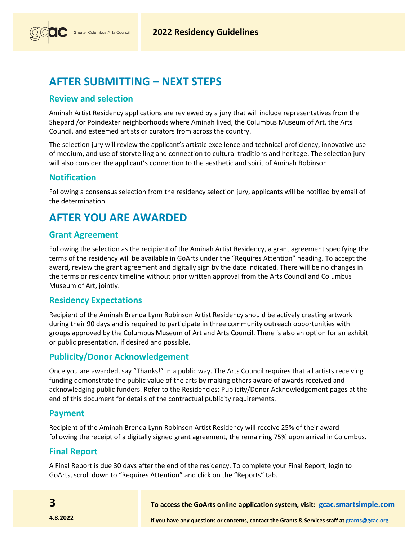

# **AFTER SUBMITTING – NEXT STEPS**

### **Review and selection**

Aminah Artist Residency applications are reviewed by a jury that will include representatives from the Shepard /or Poindexter neighborhoods where Aminah lived, the Columbus Museum of Art, the Arts Council, and esteemed artists or curators from across the country.

The selection jury will review the applicant's artistic excellence and technical proficiency, innovative use of medium, and use of storytelling and connection to cultural traditions and heritage. The selection jury will also consider the applicant's connection to the aesthetic and spirit of Aminah Robinson.

### **Notification**

Following a consensus selection from the residency selection jury, applicants will be notified by email of the determination.

# **AFTER YOU ARE AWARDED**

### **Grant Agreement**

Following the selection as the recipient of the Aminah Artist Residency, a grant agreement specifying the terms of the residency will be available in GoArts under the "Requires Attention" heading. To accept the award, review the grant agreement and digitally sign by the date indicated. There will be no changes in the terms or residency timeline without prior written approval from the Arts Council and Columbus Museum of Art, jointly.

### **Residency Expectations**

Recipient of the Aminah Brenda Lynn Robinson Artist Residency should be actively creating artwork during their 90 days and is required to participate in three community outreach opportunities with groups approved by the Columbus Museum of Art and Arts Council. There is also an option for an exhibit or public presentation, if desired and possible.

### **Publicity/Donor Acknowledgement**

Once you are awarded, say "Thanks!" in a public way. The Arts Council requires that all artists receiving funding demonstrate the public value of the arts by making others aware of awards received and acknowledging public funders. Refer to the Residencies: Publicity/Donor Acknowledgement pages at the end of this document for details of the contractual publicity requirements.

### **Payment**

Recipient of the Aminah Brenda Lynn Robinson Artist Residency will receive 25% of their award following the receipt of a digitally signed grant agreement, the remaining 75% upon arrival in Columbus.

### **Final Report**

A Final Report is due 30 days after the end of the residency. To complete your Final Report, login to GoArts, scroll down to "Requires Attention" and click on the "Reports" tab.

**To access the GoArts online application system, visit: [gcac.smartsimple.com](https://gcac.smartsimple.com/)**